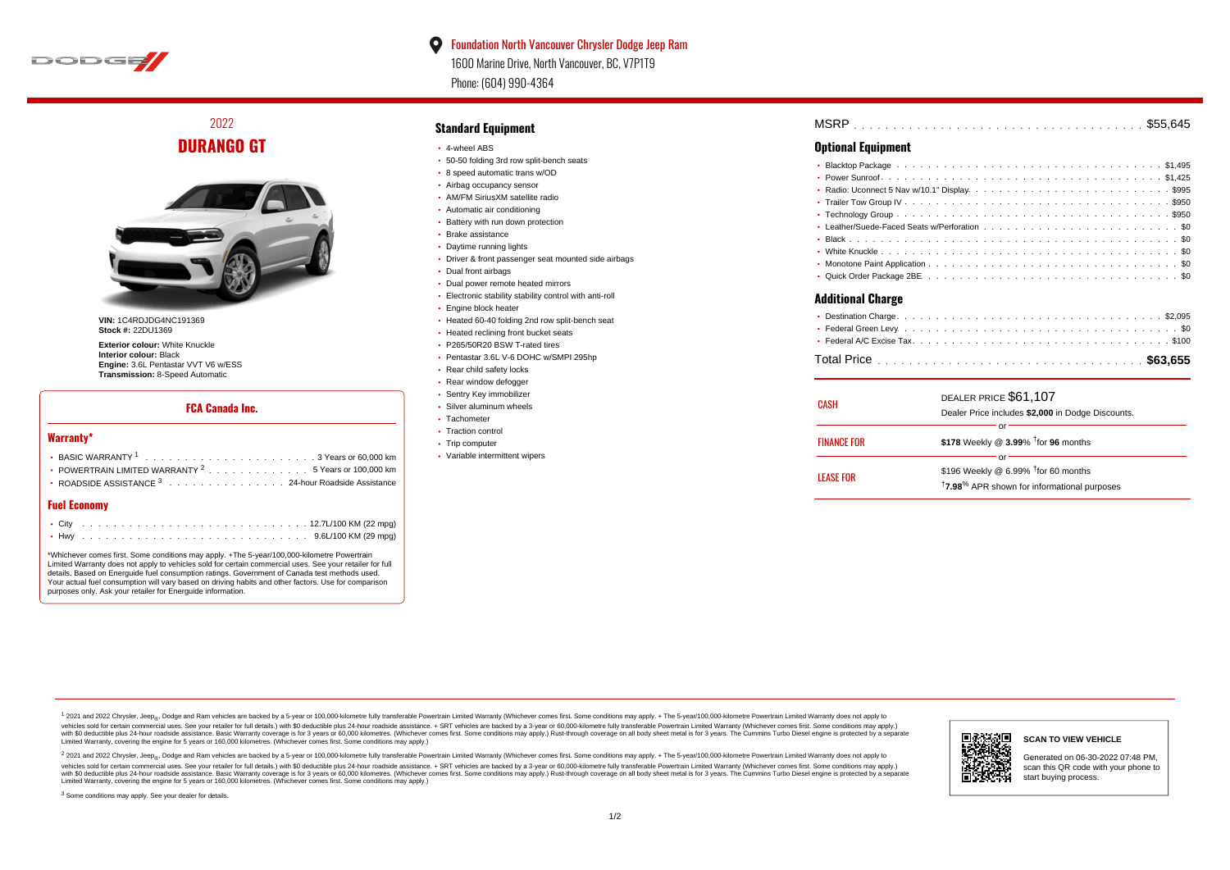

2022 **DURANGO GT**



**VIN:** 1C4RDJDG4NC191369 **Stock #:** 22DU1369

**Exterior colour:** White Knuckle **Interior colour:** Black **Engine:** 3.6L Pentastar VVT V6 w/ESS **Transmission:** 8-Speed Automatic

### **FCA Canada Inc.**

#### **Warranty\***

| • POWERTRAIN LIMITED WARRANTY $2 \ldots \ldots \ldots \ldots \ldots 5$ Years or 100,000 km |
|--------------------------------------------------------------------------------------------|
| • ROADSIDE ASSISTANCE $^3$ , , , , , , , , , , , , , , , , 24-hour Roadside Assistance     |
|                                                                                            |

## **Fuel Economy**

\*Whichever comes first. Some conditions may apply. +The 5-year/100,000-kilometre Powertrain Limited Warranty does not apply to vehicles sold for certain commercial uses. See your retailer for full details. Based on Energuide fuel consumption ratings. Government of Canada test methods used. Your actual fuel consumption will vary based on driving habits and other factors. Use for comparison purposes only. Ask your retailer for Energuide information.

## **Standard Equipment**

- 4-wheel ABS
- 50-50 folding 3rd row split-bench seats
- 8 speed automatic trans w/OD
- Airbag occupancy sensor
- AM/FM SiriusXM satellite radio
- Automatic air conditioning
- Battery with run down protection
- Brake assistance
- Daytime running lights
- Driver & front passenger seat mounted side airbags
- Dual front airbags
- Dual power remote heated mirrors
- Electronic stability stability control with anti-roll
- **Engine block heater**
- Heated 60-40 folding 2nd row split-bench seat
- Heated reclining front bucket seats
- P265/50R20 BSW T-rated tires
- Pentastar 3.6L V-6 DOHC w/SMPI 295hp
- Rear child safety locks
- Rear window defogger
- **· Sentry Key immobilizer** Silver aluminum wheels
- Tachometer
- Traction control
- Trip computer
- Variable intermittent wipers
- . . . . . . . . . . . . . . . . . . . . . . . . . . . . . . . . . . . . . . . . . . . . . . Blacktop Package \$1,495 . . . . . . . . . . . . . . . . . . . . . . . . . . . . . . . . . . . . . . . . . . . . . . Power Sunroof \$1,425 Radio: Uconnect 5 Nav w/10.1" Display ............................\$995 . . . . . . . . . . . . . . . . . . . . . . . . . . . . . . . . . . . . . . . . . . . . . . Trailer Tow Group IV \$950
	- . . . . . . . . . . . . . . . . . . . . . . . . . . . . . . . . . . . . . . . . . . . . . . Technology Group \$950 Leather/Suede-Faced Seats w/Perforation  $\ldots \ldots \ldots \ldots \ldots \ldots \ldots \ldots \ldots \ldots \ldots$ . . . . . . . . . . . . . . . . . . . . . . . . . . . . . . . . . . . . . . . . . . . . . . Black \$0 . . . . . . . . . . . . . . . . . . . . . . . . . . . . . . . . . . . . . . . . . . . . . . White Knuckle \$0 . . . . . . . . . . . . . . . . . . . . . . . . . . . . . . . . . . . . . . . . . . . . . . Monotone Paint Application \$0 . . . . . . . . . . . . . . . . . . . . . . . . . . . . . . . . . . . . . . . . . . . . . . Quick Order Package 2BE \$0

. . . . . . . . . . . . . . . . . . . . . . . . . . . . . . . . . . . . . . . . . . . . . . MSRP \$55,645

#### **Additional Charge**

**Optional Equipment**

| CASH               | DEALER PRICE \$61,107<br>Dealer Price includes \$2,000 in Dodge Discounts. |  |  |  |  |  |  |  |  |  |
|--------------------|----------------------------------------------------------------------------|--|--|--|--|--|--|--|--|--|
| <b>FINANCE FOR</b> | Ωľ<br>\$178 Weekly @ $3.99\%$ <sup>†</sup> for 96 months                   |  |  |  |  |  |  |  |  |  |
|                    | Ωľ                                                                         |  |  |  |  |  |  |  |  |  |
| <b>LEASE FOR</b>   | \$196 Weekly @ 6.99% <sup>1</sup> for 60 months                            |  |  |  |  |  |  |  |  |  |
|                    | <sup>†</sup> 7.98 <sup>%</sup> APR shown for informational purposes        |  |  |  |  |  |  |  |  |  |

1 2021 and 2022 Chrysler, Jeep<sub>en</sub> Dodge and Ram vehicles are backed by a 5-year or 100,000-kilometre fully transferable Powertrain Limited Warranty (Whichever comes first. Some conditions may apply. + The 5-year/100,000-k vehicles sold for certain commercial uses. See your retailer for full details.) with \$0 deductible plus 24-hour madside assistance. + SRT vehicles are backed by a 3-year or 60.000-kilometre fully transferable Powertrain Li ventals and contract when the contract when the contract you contract when the contract when the control of the set of a set of a set of a set of 3 years of 60,000 kilometres. Whichever comes first. Some conditions may app Limited Warranty, covering the engine for 5 years or 160,000 kilometres. (Whichever comes first. Some conditions may apply.)

2 2021 and 2022 Chrysler, Jeep<sub>es</sub> Dodge and Ram vehicles are backed by a 5-year or 100,000-kilometre fully transferable Powertrain Limited Warranty (Whichever comes first. Some conditions may apply. + The 5-year/100,000-k vehicles sold for certain commercial uses. See your retailer for full details.) with SO deductible plus 24-hour roadside assistance. + SRT vehicles are backed by a 3-year or 60.000-kilometre fully transferable Powertrain L with S0 deductible plus 24-hour roadside assistance. Basic Warranty coverage is for 3 years or 60,000 kilometres. (Whichever comes first. Some conditions may apply.) Rust-through coverage on all body sheet metal is for 3 y 同系統約回 **SCAN TO VIEW VEHICLE** Generated on 06-30-2022 07:48 PM, scan this QR code with your phone to start buying process.

<sup>3</sup> Some conditions may apply. See your dealer for details.